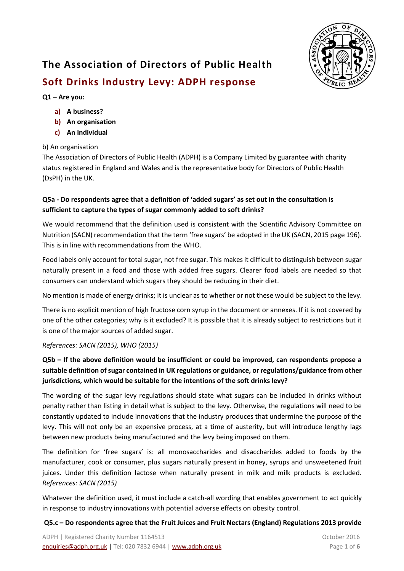

# **The Association of Directors of Public Health Soft Drinks Industry Levy: ADPH response**

## **Q1 – Are you:**

#### **a) A business?**

- **b) An organisation**
- **c) An individual**

#### b) An organisation

The Association of Directors of Public Health (ADPH) is a Company Limited by guarantee with charity status registered in England and Wales and is the representative body for Directors of Public Health (DsPH) in the UK.

## **Q5a - Do respondents agree that a definition of 'added sugars' as set out in the consultation is sufficient to capture the types of sugar commonly added to soft drinks?**

We would recommend that the definition used is consistent with the Scientific Advisory Committee on Nutrition (SACN) recommendation that the term 'free sugars' be adopted in the UK (SACN, 2015 page 196). This is in line with recommendations from the WHO.

Food labels only account for total sugar, not free sugar. This makes it difficult to distinguish between sugar naturally present in a food and those with added free sugars. Clearer food labels are needed so that consumers can understand which sugars they should be reducing in their diet.

No mention is made of energy drinks; it is unclear as to whether or not these would be subject to the levy.

There is no explicit mention of high fructose corn syrup in the document or annexes. If it is not covered by one of the other categories; why is it excluded? It is possible that it is already subject to restrictions but it is one of the major sources of added sugar.

#### *References: SACN (2015), WHO (2015)*

# **Q5b – If the above definition would be insufficient or could be improved, can respondents propose a suitable definition of sugar contained in UK regulations or guidance, or regulations/guidance from other jurisdictions, which would be suitable for the intentions of the soft drinks levy?**

The wording of the sugar levy regulations should state what sugars can be included in drinks without penalty rather than listing in detail what is subject to the levy. Otherwise, the regulations will need to be constantly updated to include innovations that the industry produces that undermine the purpose of the levy. This will not only be an expensive process, at a time of austerity, but will introduce lengthy lags between new products being manufactured and the levy being imposed on them.

The definition for 'free sugars' is: all monosaccharides and disaccharides added to foods by the manufacturer, cook or consumer, plus sugars naturally present in honey, syrups and unsweetened fruit juices. Under this definition lactose when naturally present in milk and milk products is excluded. *References: SACN (2015)*

Whatever the definition used, it must include a catch-all wording that enables government to act quickly in response to industry innovations with potential adverse effects on obesity control.

#### **Q5.c – Do respondents agree that the Fruit Juices and Fruit Nectars (England) Regulations 2013 provide**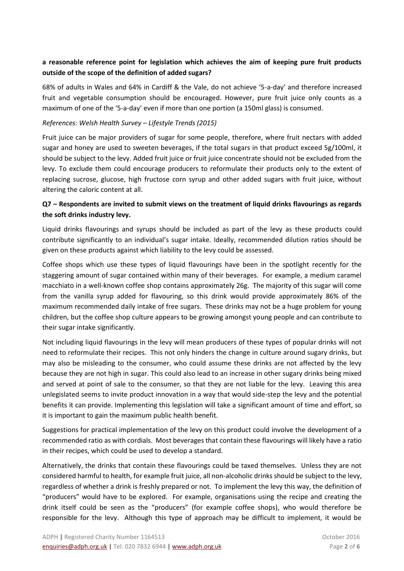## **a reasonable reference point for legislation which achieves the aim of keeping pure fruit products outside of the scope of the definition of added sugars?**

68% of adults in Wales and 64% in Cardiff & the Vale, do not achieve '5-a-day' and therefore increased fruit and vegetable consumption should be encouraged. However, pure fruit juice only counts as a maximum of one of the '5-a-day' even if more than one portion (a 150ml glass) is consumed.

#### *References: Welsh Health Survey – Lifestyle Trends (2015)*

Fruit juice can be major providers of sugar for some people, therefore, where fruit nectars with added sugar and honey are used to sweeten beverages, if the total sugars in that product exceed 5g/100ml, it should be subject to the levy. Added fruit juice or fruit juice concentrate should not be excluded from the levy. To exclude them could encourage producers to reformulate their products only to the extent of replacing sucrose, glucose, high fructose corn syrup and other added sugars with fruit juice, without altering the caloric content at all.

## **Q7 – Respondents are invited to submit views on the treatment of liquid drinks flavourings as regards the soft drinks industry levy.**

Liquid drinks flavourings and syrups should be included as part of the levy as these products could contribute significantly to an individual's sugar intake. Ideally, recommended dilution ratios should be given on these products against which liability to the levy could be assessed.

Coffee shops which use these types of liquid flavourings have been in the spotlight recently for the staggering amount of sugar contained within many of their beverages. For example, a medium caramel macchiato in a well-known coffee shop contains approximately 26g. The majority of this sugar will come from the vanilla syrup added for flavouring, so this drink would provide approximately 86% of the maximum recommended daily intake of free sugars. These drinks may not be a huge problem for young children, but the coffee shop culture appears to be growing amongst young people and can contribute to their sugar intake significantly.

Not including liquid flavourings in the levy will mean producers of these types of popular drinks will not need to reformulate their recipes. This not only hinders the change in culture around sugary drinks, but may also be misleading to the consumer, who could assume these drinks are not affected by the levy because they are not high in sugar. This could also lead to an increase in other sugary drinks being mixed and served at point of sale to the consumer, so that they are not liable for the levy. Leaving this area unlegislated seems to invite product innovation in a way that would side-step the levy and the potential benefits it can provide. Implementing this legislation will take a significant amount of time and effort, so it is important to gain the maximum public health benefit.

Suggestions for practical implementation of the levy on this product could involve the development of a recommended ratio as with cordials. Most beverages that contain these flavourings will likely have a ratio in their recipes, which could be used to develop a standard.

Alternatively, the drinks that contain these flavourings could be taxed themselves. Unless they are not considered harmful to health, for example fruit juice, all non-alcoholic drinks should be subject to the levy, regardless of whether a drink is freshly prepared or not. To implement the levy this way, the definition of "producers" would have to be explored. For example, organisations using the recipe and creating the drink itself could be seen as the "producers" (for example coffee shops), who would therefore be responsible for the levy. Although this type of approach may be difficult to implement, it would be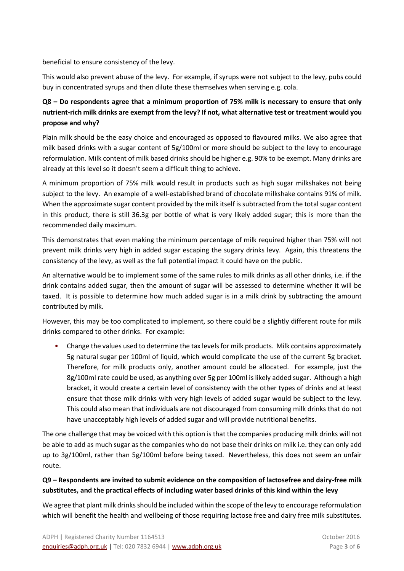beneficial to ensure consistency of the levy.

This would also prevent abuse of the levy. For example, if syrups were not subject to the levy, pubs could buy in concentrated syrups and then dilute these themselves when serving e.g. cola.

# **Q8 – Do respondents agree that a minimum proportion of 75% milk is necessary to ensure that only nutrient-rich milk drinks are exempt from the levy? If not, what alternative test or treatment would you propose and why?**

Plain milk should be the easy choice and encouraged as opposed to flavoured milks. We also agree that milk based drinks with a sugar content of 5g/100ml or more should be subject to the levy to encourage reformulation. Milk content of milk based drinks should be higher e.g. 90% to be exempt. Many drinks are already at this level so it doesn't seem a difficult thing to achieve.

A minimum proportion of 75% milk would result in products such as high sugar milkshakes not being subject to the levy. An example of a well-established brand of chocolate milkshake contains 91% of milk. When the approximate sugar content provided by the milk itself is subtracted from the total sugar content in this product, there is still 36.3g per bottle of what is very likely added sugar; this is more than the recommended daily maximum.

This demonstrates that even making the minimum percentage of milk required higher than 75% will not prevent milk drinks very high in added sugar escaping the sugary drinks levy. Again, this threatens the consistency of the levy, as well as the full potential impact it could have on the public.

An alternative would be to implement some of the same rules to milk drinks as all other drinks, i.e. if the drink contains added sugar, then the amount of sugar will be assessed to determine whether it will be taxed. It is possible to determine how much added sugar is in a milk drink by subtracting the amount contributed by milk.

However, this may be too complicated to implement, so there could be a slightly different route for milk drinks compared to other drinks. For example:

• Change the values used to determine the tax levels for milk products. Milk contains approximately 5g natural sugar per 100ml of liquid, which would complicate the use of the current 5g bracket. Therefore, for milk products only, another amount could be allocated. For example, just the 8g/100ml rate could be used, as anything over 5g per 100ml is likely added sugar. Although a high bracket, it would create a certain level of consistency with the other types of drinks and at least ensure that those milk drinks with very high levels of added sugar would be subject to the levy. This could also mean that individuals are not discouraged from consuming milk drinks that do not have unacceptably high levels of added sugar and will provide nutritional benefits.

The one challenge that may be voiced with this option is that the companies producing milk drinks will not be able to add as much sugar as the companies who do not base their drinks on milk i.e. they can only add up to 3g/100ml, rather than 5g/100ml before being taxed. Nevertheless, this does not seem an unfair route.

## **Q9 – Respondents are invited to submit evidence on the composition of lactosefree and dairy-free milk substitutes, and the practical effects of including water based drinks of this kind within the levy**

We agree that plant milk drinks should be included within the scope of the levy to encourage reformulation which will benefit the health and wellbeing of those requiring lactose free and dairy free milk substitutes.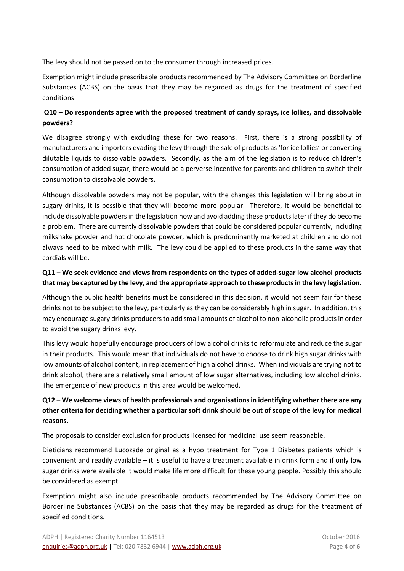The levy should not be passed on to the consumer through increased prices.

Exemption might include prescribable products recommended by The Advisory Committee on Borderline Substances (ACBS) on the basis that they may be regarded as drugs for the treatment of specified conditions.

#### **Q10 – Do respondents agree with the proposed treatment of candy sprays, ice lollies, and dissolvable powders?**

We disagree strongly with excluding these for two reasons. First, there is a strong possibility of manufacturers and importers evading the levy through the sale of products as 'for ice lollies' or converting dilutable liquids to dissolvable powders. Secondly, as the aim of the legislation is to reduce children's consumption of added sugar, there would be a perverse incentive for parents and children to switch their consumption to dissolvable powders.

Although dissolvable powders may not be popular, with the changes this legislation will bring about in sugary drinks, it is possible that they will become more popular. Therefore, it would be beneficial to include dissolvable powders in the legislation now and avoid adding these products later if they do become a problem. There are currently dissolvable powders that could be considered popular currently, including milkshake powder and hot chocolate powder, which is predominantly marketed at children and do not always need to be mixed with milk. The levy could be applied to these products in the same way that cordials will be.

## **Q11 – We seek evidence and views from respondents on the types of added-sugar low alcohol products that may be captured by the levy, and the appropriate approach to these products in the levy legislation.**

Although the public health benefits must be considered in this decision, it would not seem fair for these drinks not to be subject to the levy, particularly as they can be considerably high in sugar. In addition, this may encourage sugary drinks producers to add small amounts of alcohol to non-alcoholic products in order to avoid the sugary drinks levy.

This levy would hopefully encourage producers of low alcohol drinks to reformulate and reduce the sugar in their products. This would mean that individuals do not have to choose to drink high sugar drinks with low amounts of alcohol content, in replacement of high alcohol drinks. When individuals are trying not to drink alcohol, there are a relatively small amount of low sugar alternatives, including low alcohol drinks. The emergence of new products in this area would be welcomed.

# **Q12 – We welcome views of health professionals and organisations in identifying whether there are any other criteria for deciding whether a particular soft drink should be out of scope of the levy for medical reasons.**

The proposals to consider exclusion for products licensed for medicinal use seem reasonable.

Dieticians recommend Lucozade original as a hypo treatment for Type 1 Diabetes patients which is convenient and readily available – it is useful to have a treatment available in drink form and if only low sugar drinks were available it would make life more difficult for these young people. Possibly this should be considered as exempt.

Exemption might also include prescribable products recommended by The Advisory Committee on Borderline Substances (ACBS) on the basis that they may be regarded as drugs for the treatment of specified conditions.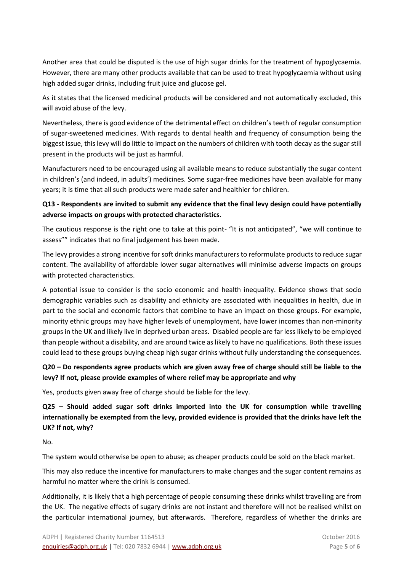Another area that could be disputed is the use of high sugar drinks for the treatment of hypoglycaemia. However, there are many other products available that can be used to treat hypoglycaemia without using high added sugar drinks, including fruit juice and glucose gel.

As it states that the licensed medicinal products will be considered and not automatically excluded, this will avoid abuse of the levy.

Nevertheless, there is good evidence of the detrimental effect on children's teeth of regular consumption of sugar-sweetened medicines. With regards to dental health and frequency of consumption being the biggest issue, this levy will do little to impact on the numbers of children with tooth decay as the sugar still present in the products will be just as harmful.

Manufacturers need to be encouraged using all available means to reduce substantially the sugar content in children's (and indeed, in adults') medicines. Some sugar-free medicines have been available for many years; it is time that all such products were made safer and healthier for children.

## **Q13 - Respondents are invited to submit any evidence that the final levy design could have potentially adverse impacts on groups with protected characteristics.**

The cautious response is the right one to take at this point- "It is not anticipated", "we will continue to assess"" indicates that no final judgement has been made.

The levy provides a strong incentive for soft drinks manufacturers to reformulate products to reduce sugar content. The availability of affordable lower sugar alternatives will minimise adverse impacts on groups with protected characteristics.

A potential issue to consider is the socio economic and health inequality. Evidence shows that socio demographic variables such as disability and ethnicity are associated with inequalities in health, due in part to the social and economic factors that combine to have an impact on those groups. For example, minority ethnic groups may have higher levels of unemployment, have lower incomes than non-minority groups in the UK and likely live in deprived urban areas. Disabled people are far less likely to be employed than people without a disability, and are around twice as likely to have no qualifications. Both these issues could lead to these groups buying cheap high sugar drinks without fully understanding the consequences.

## **Q20 – Do respondents agree products which are given away free of charge should still be liable to the levy? If not, please provide examples of where relief may be appropriate and why**

Yes, products given away free of charge should be liable for the levy.

**Q25 – Should added sugar soft drinks imported into the UK for consumption while travelling internationally be exempted from the levy, provided evidence is provided that the drinks have left the UK? If not, why?** 

No.

The system would otherwise be open to abuse; as cheaper products could be sold on the black market.

This may also reduce the incentive for manufacturers to make changes and the sugar content remains as harmful no matter where the drink is consumed.

Additionally, it is likely that a high percentage of people consuming these drinks whilst travelling are from the UK. The negative effects of sugary drinks are not instant and therefore will not be realised whilst on the particular international journey, but afterwards. Therefore, regardless of whether the drinks are